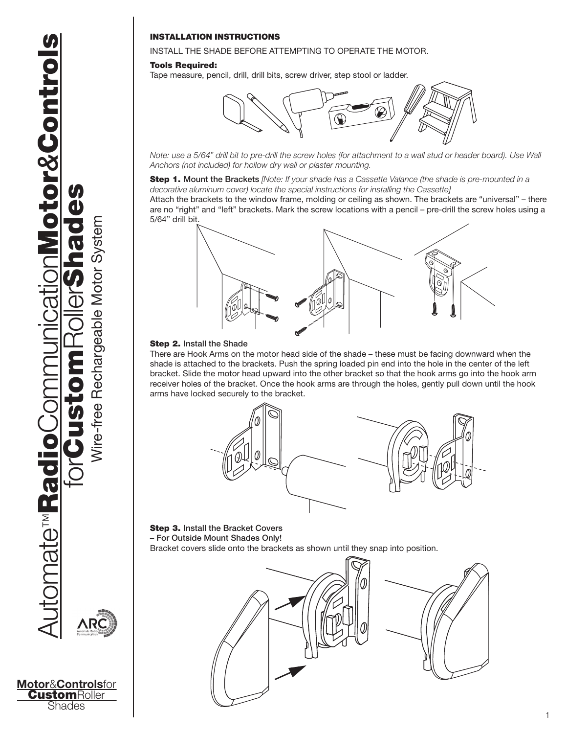**Motor**&**Controls**for **CustomRoller Shades** 

# INSTALLATION INSTRUCTIONS

## INSTALL THE SHADE BEFORE ATTEMPTING TO OPERATE THE MOTOR.

### Tools Required:

Tape measure, pencil, drill, drill bits, screw driver, step stool or ladder.



*Note: use a 5/64" drill bit to pre-drill the screw holes (for attachment to a wall stud or header board). Use Wall Anchors (not included) for hollow dry wall or plaster mounting.*

Step 1. Mount the Brackets *[Note: If your shade has a Cassette Valance (the shade is pre-mounted in a decorative aluminum cover) locate the special instructions for installing the Cassette]*

Attach the brackets to the window frame, molding or ceiling as shown. The brackets are "universal" – there are no "right" and "left" brackets. Mark the screw locations with a pencil – pre-drill the screw holes using a 5/64" drill bit.



#### Step 2. Install the Shade

There are Hook Arms on the motor head side of the shade – these must be facing downward when the shade is attached to the brackets. Push the spring loaded pin end into the hole in the center of the left bracket. Slide the motor head upward into the other bracket so that the hook arms go into the hook arm receiver holes of the bracket. Once the hook arms are through the holes, gently pull down until the hook arms have locked securely to the bracket.



Step 3. Install the Bracket Covers – For Outside Mount Shades Only! Bracket covers slide onto the brackets as shown until they snap into position.

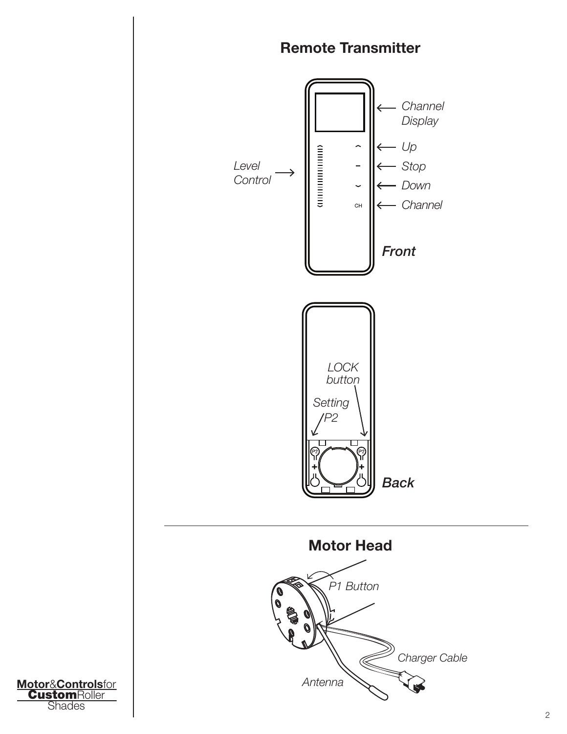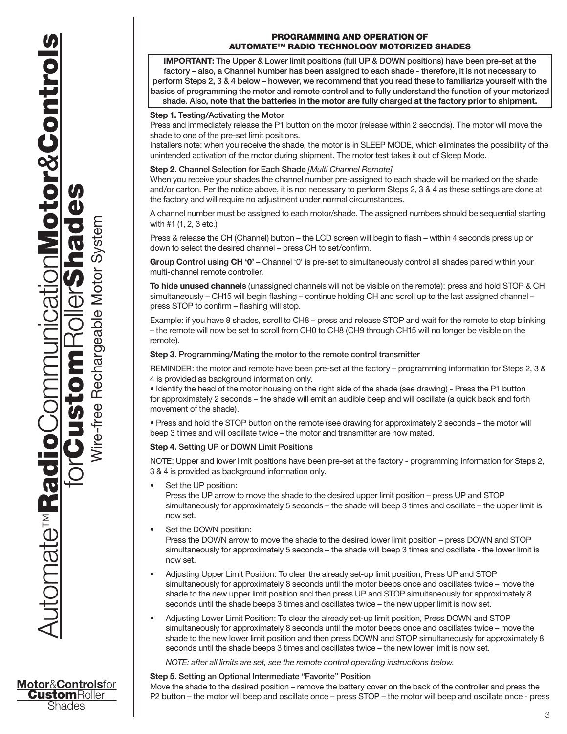Wire-free Rechargeable Motor System Wire-free Rechargeable Motor System

# Programming and Operation of Automate™ Radio Technology Motorized Shades

**IMPORTANT:** The Upper & Lower limit positions (full UP & DOWN positions) have been pre-set at the factory – also, a Channel Number has been assigned to each shade - therefore, it is not necessary to perform Steps 2, 3 & 4 below – however, we recommend that you read these to familiarize yourself with the basics of programming the motor and remote control and to fully understand the function of your motorized shade. Also, **note that the batteries in the motor are fully charged at the factory prior to shipment.**

## **Step 1.** Testing/Activating the Motor

Press and immediately release the P1 button on the motor (release within 2 seconds). The motor will move the shade to one of the pre-set limit positions.

Installers note: when you receive the shade, the motor is in SLEEP MODE, which eliminates the possibility of the unintended activation of the motor during shipment. The motor test takes it out of Sleep Mode.

## **Step 2.** Channel Selection for Each Shade *[Multi Channel Remote]*

When you receive your shades the channel number pre-assigned to each shade will be marked on the shade and/or carton. Per the notice above, it is not necessary to perform Steps 2, 3 & 4 as these settings are done at the factory and will require no adjustment under normal circumstances.

A channel number must be assigned to each motor/shade. The assigned numbers should be sequential starting with #1 (1, 2, 3 etc.)

Press & release the CH (Channel) button – the LCD screen will begin to flash – within 4 seconds press up or down to select the desired channel – press CH to set/confirm.

**Group Control using CH '0'** – Channel '0' is pre-set to simultaneously control all shades paired within your multi-channel remote controller.

**To hide unused channels** (unassigned channels will not be visible on the remote): press and hold STOP & CH simultaneously – CH15 will begin flashing – continue holding CH and scroll up to the last assigned channel – press STOP to confirm – flashing will stop.

Example: if you have 8 shades, scroll to CH8 – press and release STOP and wait for the remote to stop blinking – the remote will now be set to scroll from CH0 to CH8 (CH9 through CH15 will no longer be visible on the remote).

## **Step 3.** Programming/Mating the motor to the remote control transmitter

REMINDER: the motor and remote have been pre-set at the factory – programming information for Steps 2, 3 & 4 is provided as background information only.

• Identify the head of the motor housing on the right side of the shade (see drawing) - Press the P1 button for approximately 2 seconds – the shade will emit an audible beep and will oscillate (a quick back and forth movement of the shade).

• Press and hold the STOP button on the remote (see drawing for approximately 2 seconds – the motor will beep 3 times and will oscillate twice – the motor and transmitter are now mated.

# **Step 4.** Setting UP or DOWN Limit Positions

NOTE: Upper and lower limit positions have been pre-set at the factory - programming information for Steps 2, 3 & 4 is provided as background information only.

Set the UP position:

Press the UP arrow to move the shade to the desired upper limit position – press UP and STOP simultaneously for approximately 5 seconds – the shade will beep 3 times and oscillate – the upper limit is now set.

Set the DOWN position:

Press the DOWN arrow to move the shade to the desired lower limit position – press DOWN and STOP simultaneously for approximately 5 seconds – the shade will beep 3 times and oscillate - the lower limit is now set.

- Adjusting Upper Limit Position: To clear the already set-up limit position, Press UP and STOP simultaneously for approximately 8 seconds until the motor beeps once and oscillates twice – move the shade to the new upper limit position and then press UP and STOP simultaneously for approximately 8 seconds until the shade beeps 3 times and oscillates twice – the new upper limit is now set.
- Adjusting Lower Limit Position: To clear the already set-up limit position, Press DOWN and STOP simultaneously for approximately 8 seconds until the motor beeps once and oscillates twice – move the shade to the new lower limit position and then press DOWN and STOP simultaneously for approximately 8 seconds until the shade beeps 3 times and oscillates twice – the new lower limit is now set.

*NOTE: after all limits are set, see the remote control operating instructions below.*

## **Step 5.** Setting an Optional Intermediate "Favorite" Position

Move the shade to the desired position – remove the battery cover on the back of the controller and press the P2 button – the motor will beep and oscillate once – press STOP – the motor will beep and oscillate once - press

**CustomRoller** Shades

**Motor**&**Controls**for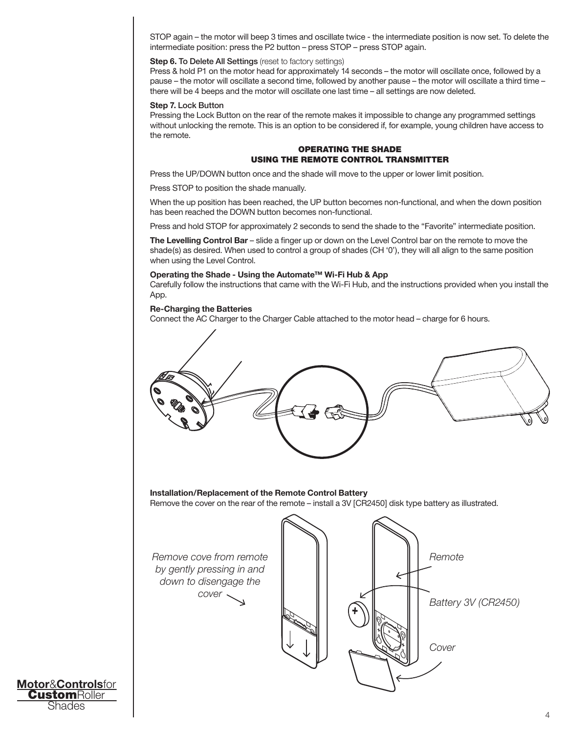STOP again – the motor will beep 3 times and oscillate twice - the intermediate position is now set. To delete the intermediate position: press the P2 button – press STOP – press STOP again.

### **Step 6. To Delete All Settings** (reset to factory settings)

Press & hold P1 on the motor head for approximately 14 seconds – the motor will oscillate once, followed by a pause – the motor will oscillate a second time, followed by another pause – the motor will oscillate a third time – there will be 4 beeps and the motor will oscillate one last time – all settings are now deleted.

#### **Step 7.** Lock Button

Pressing the Lock Button on the rear of the remote makes it impossible to change any programmed settings without unlocking the remote. This is an option to be considered if, for example, young children have access to the remote.

## Operating the Shade Using the Remote Control Transmitter

Press the UP/DOWN button once and the shade will move to the upper or lower limit position.

Press STOP to position the shade manually.

When the up position has been reached, the UP button becomes non-functional, and when the down position has been reached the DOWN button becomes non-functional.

Press and hold STOP for approximately 2 seconds to send the shade to the "Favorite" intermediate position.

**The Levelling Control Bar** – slide a finger up or down on the Level Control bar on the remote to move the shade(s) as desired. When used to control a group of shades (CH '0'), they will all align to the same position when using the Level Control.

### **Operating the Shade - Using the Automate™ Wi-Fi Hub & App**

Carefully follow the instructions that came with the Wi-Fi Hub, and the instructions provided when you install the App.

### **Re-Charging the Batteries**

Connect the AC Charger to the Charger Cable attached to the motor head – charge for 6 hours.



**Motor**&**Controls**for **CustomRoller** Shades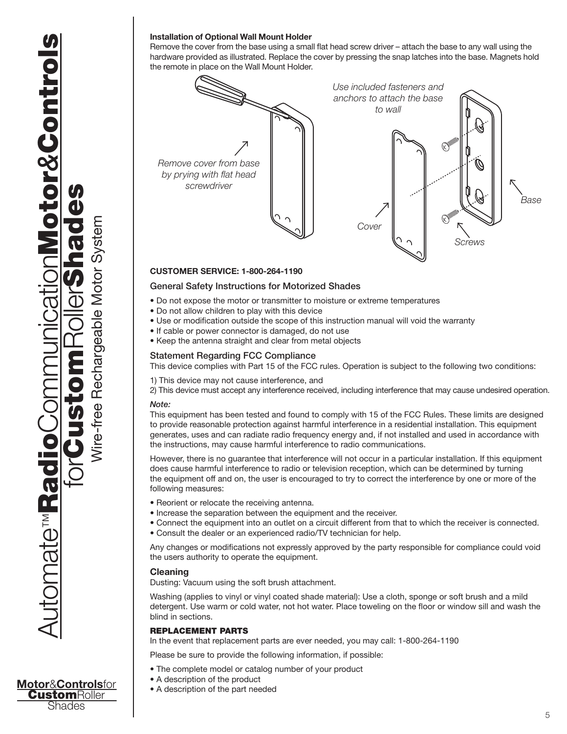# **Installation of Optional Wall Mount Holder**

Remove the cover from the base using a small flat head screw driver – attach the base to any wall using the hardware provided as illustrated. Replace the cover by pressing the snap latches into the base. Magnets hold the remote in place on the Wall Mount Holder.



## **CUSTOMER SERVICE: 1-800-264-1190**

## General Safety Instructions for Motorized Shades

- Do not expose the motor or transmitter to moisture or extreme temperatures
- Do not allow children to play with this device
- Use or modification outside the scope of this instruction manual will void the warranty
- If cable or power connector is damaged, do not use
- Keep the antenna straight and clear from metal objects

## Statement Regarding FCC Compliance

This device complies with Part 15 of the FCC rules. Operation is subject to the following two conditions:

1) This device may not cause interference, and

2) This device must accept any interference received, including interference that may cause undesired operation.

## *Note:*

This equipment has been tested and found to comply with 15 of the FCC Rules. These limits are designed to provide reasonable protection against harmful interference in a residential installation. This equipment generates, uses and can radiate radio frequency energy and, if not installed and used in accordance with the instructions, may cause harmful interference to radio communications.

However, there is no guarantee that interference will not occur in a particular installation. If this equipment does cause harmful interference to radio or television reception, which can be determined by turning the equipment off and on, the user is encouraged to try to correct the interference by one or more of the following measures:

- Reorient or relocate the receiving antenna.
- Increase the separation between the equipment and the receiver.
- Connect the equipment into an outlet on a circuit different from that to which the receiver is connected.
- Consult the dealer or an experienced radio/TV technician for help.

Any changes or modifications not expressly approved by the party responsible for compliance could void the users authority to operate the equipment.

## **Cleaning**

Dusting: Vacuum using the soft brush attachment.

Washing (applies to vinyl or vinyl coated shade material): Use a cloth, sponge or soft brush and a mild detergent. Use warm or cold water, not hot water. Place toweling on the floor or window sill and wash the blind in sections.

## REPLACEMENT PARTS

In the event that replacement parts are ever needed, you may call: 1-800-264-1190

- Please be sure to provide the following information, if possible:
- The complete model or catalog number of your product
- A description of the product
- A description of the part needed

**Motor**&**Controls**for **CustomRoller** Shades

Automate

**Desawaterriche** 

™RadioCommunicationMotor

forCustomRollerShades

Wire-free Rechargeable Motor System

Wire-free Rechargeable Motor System

*&*Controls

**DONOtor&Control**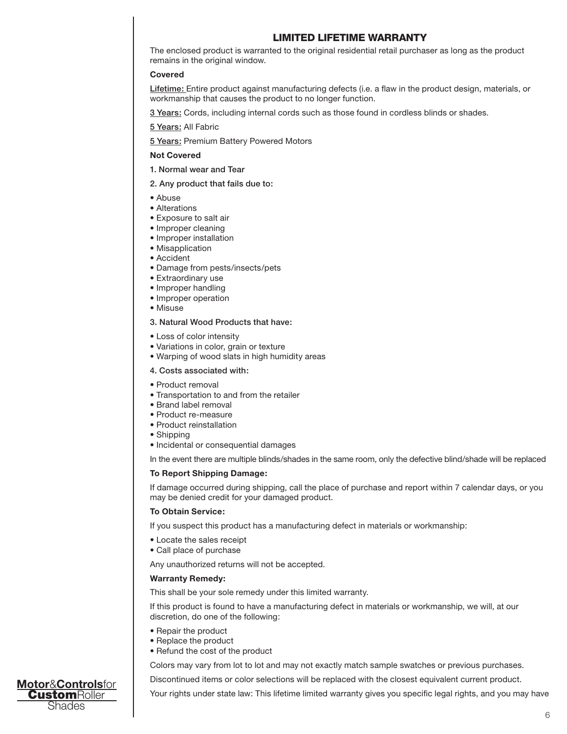# LIMITED LIFETIME WARRANTY

The enclosed product is warranted to the original residential retail purchaser as long as the product remains in the original window.

### **Covered**

Lifetime: Entire product against manufacturing defects (i.e. a flaw in the product design, materials, or workmanship that causes the product to no longer function.

3 Years: Cords, including internal cords such as those found in cordless blinds or shades.

5 Years: All Fabric

**5 Years: Premium Battery Powered Motors** 

### **Not Covered**

1. Normal wear and Tear

#### 2. Any product that fails due to:

- Abuse
- Alterations
- Exposure to salt air
- Improper cleaning
- Improper installation
- Misapplication
- Accident
- Damage from pests/insects/pets
- Extraordinary use
- Improper handling
- Improper operation
- Misuse

## 3. Natural Wood Products that have:

- Loss of color intensity
- Variations in color, grain or texture
- Warping of wood slats in high humidity areas

## 4. Costs associated with:

- Product removal
- Transportation to and from the retailer
- Brand label removal
- Product re-measure
- Product reinstallation
- Shipping
- Incidental or consequential damages

In the event there are multiple blinds/shades in the same room, only the defective blind/shade will be replaced

### **To Report Shipping Damage:**

If damage occurred during shipping, call the place of purchase and report within 7 calendar days, or you may be denied credit for your damaged product.

#### **To Obtain Service:**

If you suspect this product has a manufacturing defect in materials or workmanship:

- Locate the sales receipt
- Call place of purchase

Any unauthorized returns will not be accepted.

### **Warranty Remedy:**

This shall be your sole remedy under this limited warranty.

If this product is found to have a manufacturing defect in materials or workmanship, we will, at our discretion, do one of the following:

- Repair the product
- Replace the product
- Refund the cost of the product

Colors may vary from lot to lot and may not exactly match sample swatches or previous purchases.

Discontinued items or color selections will be replaced with the closest equivalent current product.

Your rights under state law: This lifetime limited warranty gives you specific legal rights, and you may have

**Motor**&**Controls**for